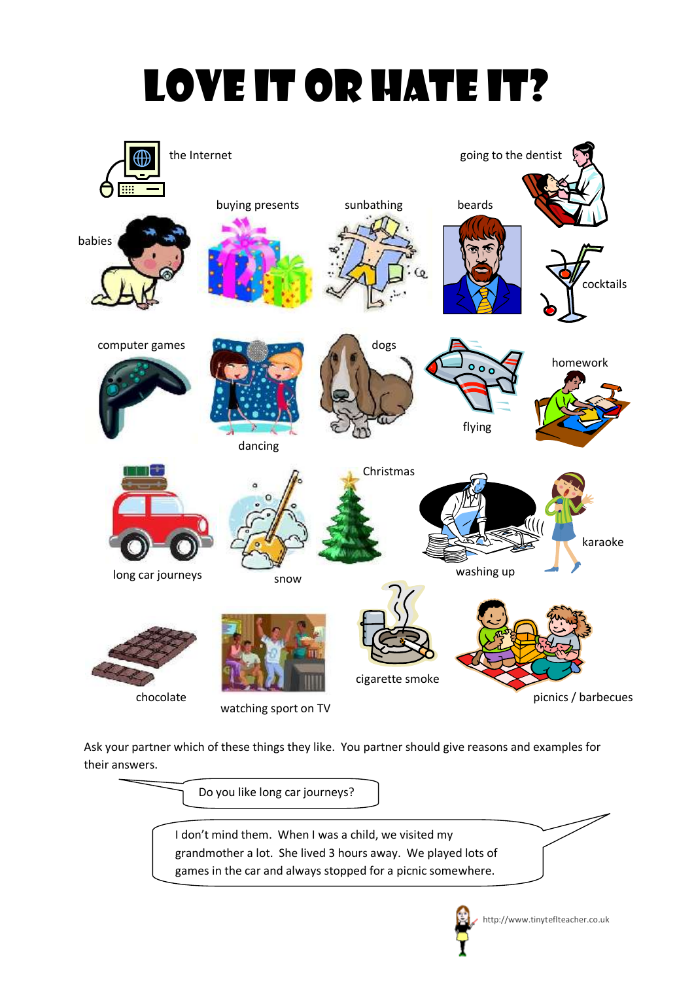# Love it or hate it?



Ask your partner which of these things they like. You partner should give reasons and examples for their answers.

Do you like long car journeys?

I don't mind them. When I was a child, we visited my grandmother a lot. She lived 3 hours away. We played lots of games in the car and always stopped for a picnic somewhere.